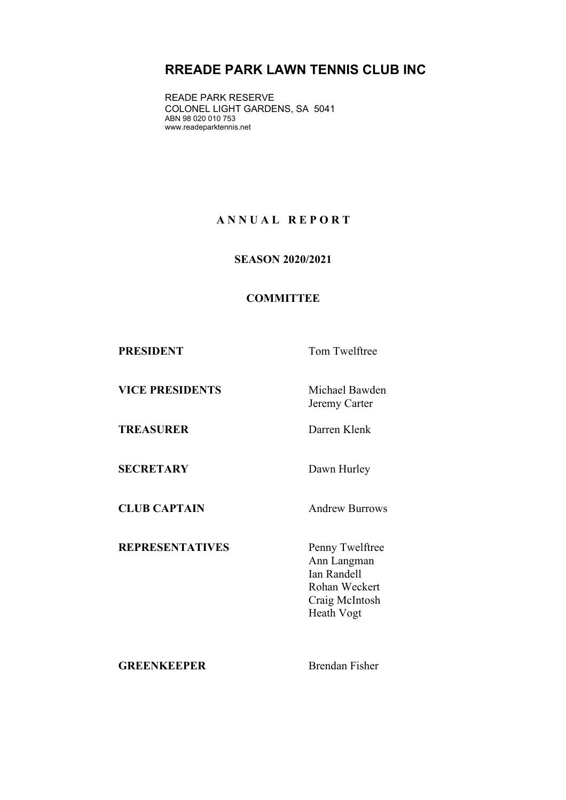# **RREADE PARK LAWN TENNIS CLUB INC**

READE PARK RESERVE COLONEL LIGHT GARDENS, SA 5041 ABN 98 020 010 753 www.readeparktennis.net

## **A N N U A L R E P O R T**

**SEASON 2020/2021**

### **COMMITTEE**

**PRESIDENT** Tom Twelftree

**VICE PRESIDENTS** Michael Bawden

Jeremy Carter

**TREASURER** Darren Klenk

**SECRETARY** Dawn Hurley

**CLUB CAPTAIN** Andrew Burrows

**REPRESENTATIVES** Penny Twelftree

Ann Langman Ian Randell Rohan Weckert Craig McIntosh Heath Vogt

**GREENKEEPER** Brendan Fisher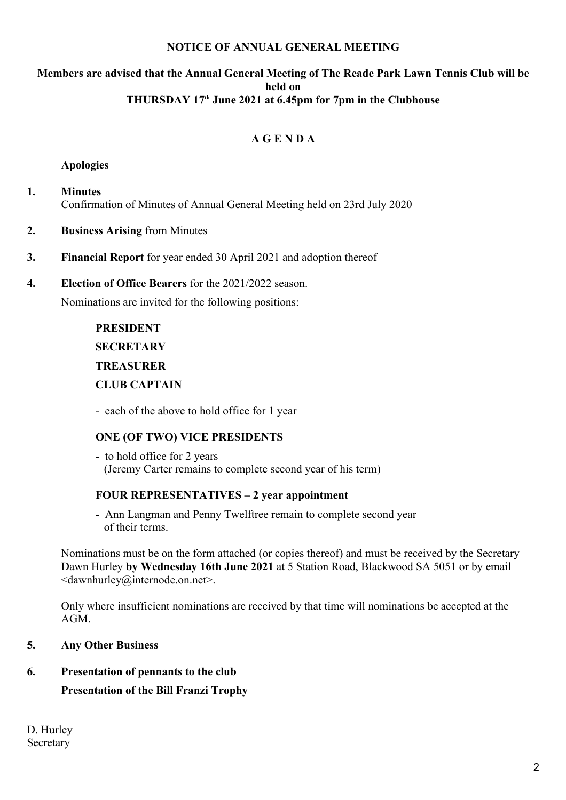#### **NOTICE OF ANNUAL GENERAL MEETING**

#### **Members are advised that the Annual General Meeting of The Reade Park Lawn Tennis Club will be held on THURSDAY 17th June 2021 at 6.45pm for 7pm in the Clubhouse**

## **A G E N D A**

#### **Apologies**

- **1. Minutes** Confirmation of Minutes of Annual General Meeting held on 23rd July 2020
- **2. Business Arising** from Minutes
- **3. Financial Report** for year ended 30 April 2021 and adoption thereof
- **4. Election of Office Bearers** for the 2021/2022 season.

Nominations are invited for the following positions:

# **PRESIDENT SECRETARY TREASURER CLUB CAPTAIN**

- each of the above to hold office for 1 year

#### **ONE (OF TWO) VICE PRESIDENTS**

- to hold office for 2 years (Jeremy Carter remains to complete second year of his term)

#### **FOUR REPRESENTATIVES – 2 year appointment**

- Ann Langman and Penny Twelftree remain to complete second year of their terms.

Nominations must be on the form attached (or copies thereof) and must be received by the Secretary Dawn Hurley **by Wednesday 16th June 2021** at 5 Station Road, Blackwood SA 5051 or by email <dawnhurley@internode.on.net>.

Only where insufficient nominations are received by that time will nominations be accepted at the AGM.

#### **5. Any Other Business**

### **6. Presentation of pennants to the club**

**Presentation of the Bill Franzi Trophy**

D. Hurley Secretary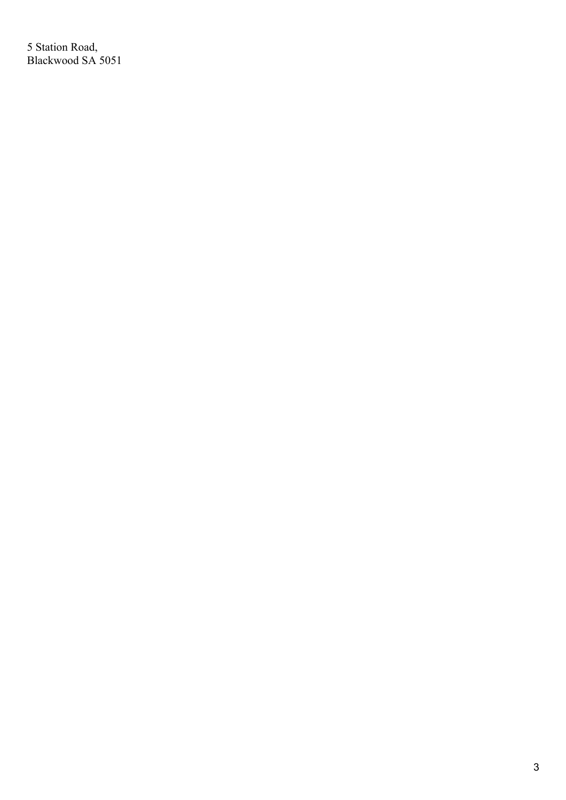5 Station Road, Blackwood SA 5051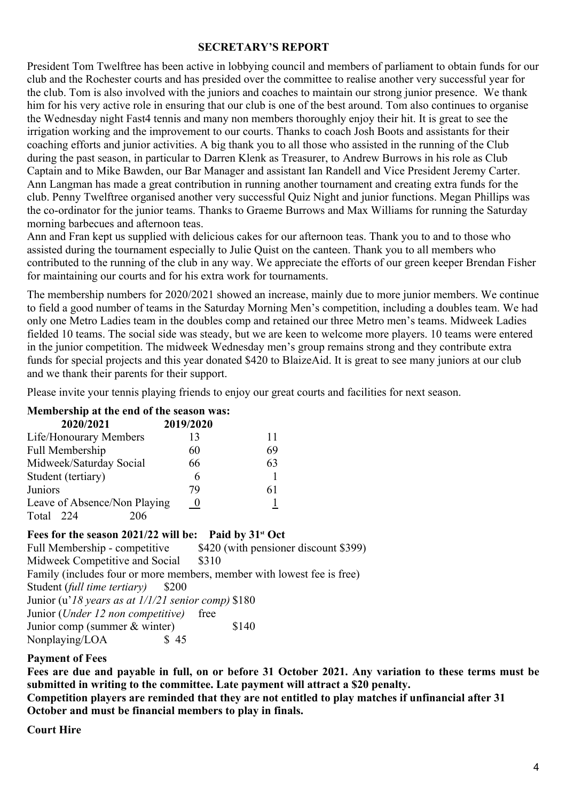#### **SECRETARY'S REPORT**

President Tom Twelftree has been active in lobbying council and members of parliament to obtain funds for our club and the Rochester courts and has presided over the committee to realise another very successful year for the club. Tom is also involved with the juniors and coaches to maintain our strong junior presence. We thank him for his very active role in ensuring that our club is one of the best around. Tom also continues to organise the Wednesday night Fast4 tennis and many non members thoroughly enjoy their hit. It is great to see the irrigation working and the improvement to our courts. Thanks to coach Josh Boots and assistants for their coaching efforts and junior activities. A big thank you to all those who assisted in the running of the Club during the past season, in particular to Darren Klenk as Treasurer, to Andrew Burrows in his role as Club Captain and to Mike Bawden, our Bar Manager and assistant Ian Randell and Vice President Jeremy Carter. Ann Langman has made a great contribution in running another tournament and creating extra funds for the club. Penny Twelftree organised another very successful Quiz Night and junior functions. Megan Phillips was the co-ordinator for the junior teams. Thanks to Graeme Burrows and Max Williams for running the Saturday morning barbecues and afternoon teas.

Ann and Fran kept us supplied with delicious cakes for our afternoon teas. Thank you to and to those who assisted during the tournament especially to Julie Quist on the canteen. Thank you to all members who contributed to the running of the club in any way. We appreciate the efforts of our green keeper Brendan Fisher for maintaining our courts and for his extra work for tournaments.

The membership numbers for 2020/2021 showed an increase, mainly due to more junior members. We continue to field a good number of teams in the Saturday Morning Men's competition, including a doubles team. We had only one Metro Ladies team in the doubles comp and retained our three Metro men's teams. Midweek Ladies fielded 10 teams. The social side was steady, but we are keen to welcome more players. 10 teams were entered in the junior competition. The midweek Wednesday men's group remains strong and they contribute extra funds for special projects and this year donated \$420 to BlaizeAid. It is great to see many juniors at our club and we thank their parents for their support.

Please invite your tennis playing friends to enjoy our great courts and facilities for next season.

### **Membership at the end of the season was:**

| 2020/2021                    | 2019/2020 |    |  |
|------------------------------|-----------|----|--|
| Life/Honourary Members       | 13        |    |  |
| Full Membership              | 60        | 69 |  |
| Midweek/Saturday Social      | 66        | 63 |  |
| Student (tertiary)           | 6         |    |  |
| Juniors                      | 79        | 61 |  |
| Leave of Absence/Non Playing | $\theta$  |    |  |
| Total<br>224<br>206          |           |    |  |

#### **Fees for the season 2021/22 will be: Paid by 31st Oct**

Full Membership - competitive \$420 (with pensioner discount \$399) Midweek Competitive and Social \$310 Family (includes four or more members, member with lowest fee is free) Student (*full time tertiary*) \$200 Junior (u'*18 years as at 1/1/21 senior comp)* \$180 Junior (*Under 12 non competitive)* free Junior comp (summer & winter) \$140 Nonplaying/LOA \$45

#### **Payment of Fees**

**Fees are due and payable in full, on or before 31 October 2021. Any variation to these terms must be submitted in writing to the committee. Late payment will attract a \$20 penalty.**

**Competition players are reminded that they are not entitled to play matches if unfinancial after 31 October and must be financial members to play in finals.** 

**Court Hire**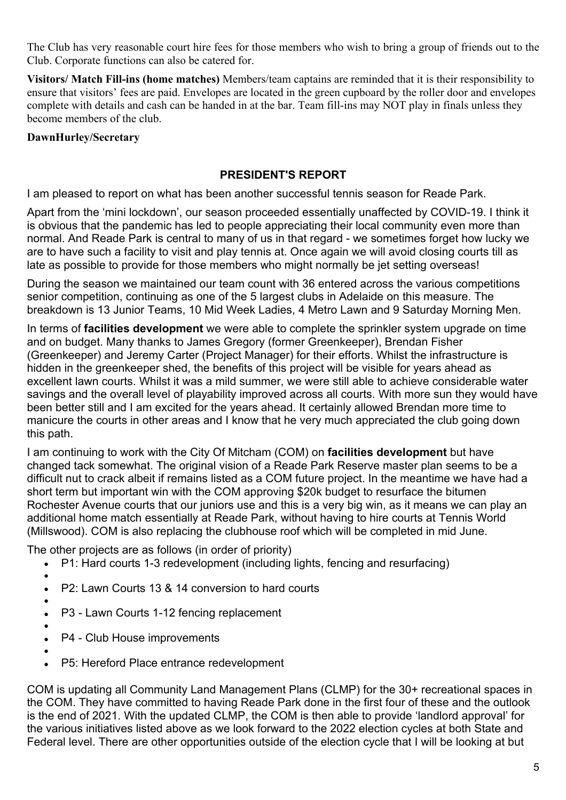The Club has very reasonable court hire fees for those members who wish to bring a group of friends out to the Club. Corporate functions can also be catered for.

**Visitors/ Match Fill-ins (home matches)** Members/team captains are reminded that it is their responsibility to ensure that visitors' fees are paid. Envelopes are located in the green cupboard by the roller door and envelopes complete with details and cash can be handed in at the bar. Team fill-ins may NOT play in finals unless they become members of the club.

## **DawnHurley/Secretary**

## **PRESIDENT'S REPORT**

I am pleased to report on what has been another successful tennis season for Reade Park.

Apart from the 'mini lockdown', our season proceeded essentially unaffected by COVID-19. I think it is obvious that the pandemic has led to people appreciating their local community even more than normal. And Reade Park is central to many of us in that regard - we sometimes forget how lucky we are to have such a facility to visit and play tennis at. Once again we will avoid closing courts till as late as possible to provide for those members who might normally be jet setting overseas!

During the season we maintained our team count with 36 entered across the various competitions senior competition, continuing as one of the 5 largest clubs in Adelaide on this measure. The breakdown is 13 Junior Teams, 10 Mid Week Ladies, 4 Metro Lawn and 9 Saturday Morning Men.

In terms of **facilities development** we were able to complete the sprinkler system upgrade on time and on budget. Many thanks to James Gregory (former Greenkeeper), Brendan Fisher (Greenkeeper) and Jeremy Carter (Project Manager) for their efforts. Whilst the infrastructure is hidden in the greenkeeper shed, the benefits of this project will be visible for years ahead as excellent lawn courts. Whilst it was a mild summer, we were still able to achieve considerable water savings and the overall level of playability improved across all courts. With more sun they would have been better still and I am excited for the years ahead. It certainly allowed Brendan more time to manicure the courts in other areas and I know that he very much appreciated the club going down this path.

I am continuing to work with the City Of Mitcham (COM) on **facilities development** but have changed tack somewhat. The original vision of a Reade Park Reserve master plan seems to be a difficult nut to crack albeit if remains listed as a COM future project. In the meantime we have had a short term but important win with the COM approving \$20k budget to resurface the bitumen Rochester Avenue courts that our juniors use and this is a very big win, as it means we can play an additional home match essentially at Reade Park, without having to hire courts at Tennis World (Millswood). COM is also replacing the clubhouse roof which will be completed in mid June.

The other projects are as follows (in order of priority)

- P1: Hard courts 1-3 redevelopment (including lights, fencing and resurfacing)
- $\bullet$  and  $\bullet$  and  $\bullet$  and  $\bullet$ P2: Lawn Courts 13 & 14 conversion to hard courts
- $\bullet$  and  $\bullet$  and  $\bullet$  and  $\bullet$
- P3 Lawn Courts 1-12 fencing replacement
- $\bullet$  and  $\bullet$  and  $\bullet$  and  $\bullet$
- P4 Club House improvements
- $\bullet$  and  $\bullet$  and  $\bullet$  and  $\bullet$
- P5: Hereford Place entrance redevelopment

COM is updating all Community Land Management Plans (CLMP) for the 30+ recreational spaces in the COM. They have committed to having Reade Park done in the first four of these and the outlook is the end of 2021. With the updated CLMP, the COM is then able to provide 'landlord approval' for the various initiatives listed above as we look forward to the 2022 election cycles at both State and Federal level. There are other opportunities outside of the election cycle that I will be looking at but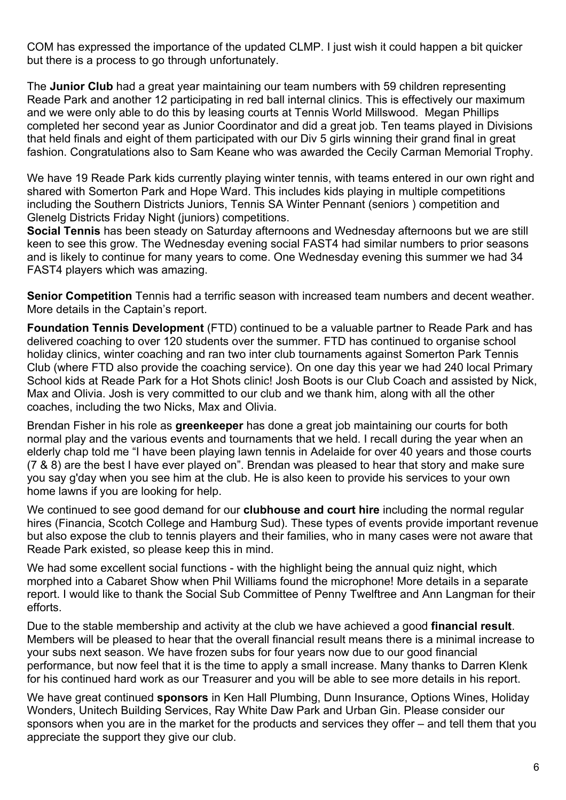COM has expressed the importance of the updated CLMP. I just wish it could happen a bit quicker but there is a process to go through unfortunately.

The **Junior Club** had a great year maintaining our team numbers with 59 children representing Reade Park and another 12 participating in red ball internal clinics. This is effectively our maximum and we were only able to do this by leasing courts at Tennis World Millswood. Megan Phillips completed her second year as Junior Coordinator and did a great job. Ten teams played in Divisions that held finals and eight of them participated with our Div 5 girls winning their grand final in great fashion. Congratulations also to Sam Keane who was awarded the Cecily Carman Memorial Trophy.

We have 19 Reade Park kids currently playing winter tennis, with teams entered in our own right and shared with Somerton Park and Hope Ward. This includes kids playing in multiple competitions including the Southern Districts Juniors, Tennis SA Winter Pennant (seniors ) competition and Glenelg Districts Friday Night (juniors) competitions.

**Social Tennis** has been steady on Saturday afternoons and Wednesday afternoons but we are still keen to see this grow. The Wednesday evening social FAST4 had similar numbers to prior seasons and is likely to continue for many years to come. One Wednesday evening this summer we had 34 FAST4 players which was amazing.

**Senior Competition** Tennis had a terrific season with increased team numbers and decent weather. More details in the Captain's report.

**Foundation Tennis Development** (FTD) continued to be a valuable partner to Reade Park and has delivered coaching to over 120 students over the summer. FTD has continued to organise school holiday clinics, winter coaching and ran two inter club tournaments against Somerton Park Tennis Club (where FTD also provide the coaching service). On one day this year we had 240 local Primary School kids at Reade Park for a Hot Shots clinic! Josh Boots is our Club Coach and assisted by Nick. Max and Olivia. Josh is very committed to our club and we thank him, along with all the other coaches, including the two Nicks, Max and Olivia.

Brendan Fisher in his role as **greenkeeper** has done a great job maintaining our courts for both normal play and the various events and tournaments that we held. I recall during the year when an elderly chap told me "I have been playing lawn tennis in Adelaide for over 40 years and those courts (7 & 8) are the best I have ever played on". Brendan was pleased to hear that story and make sure you say g'day when you see him at the club. He is also keen to provide his services to your own home lawns if you are looking for help.

We continued to see good demand for our **clubhouse and court hire** including the normal regular hires (Financia, Scotch College and Hamburg Sud). These types of events provide important revenue but also expose the club to tennis players and their families, who in many cases were not aware that Reade Park existed, so please keep this in mind.

We had some excellent social functions - with the highlight being the annual quiz night, which morphed into a Cabaret Show when Phil Williams found the microphone! More details in a separate report. I would like to thank the Social Sub Committee of Penny Twelftree and Ann Langman for their efforts.

Due to the stable membership and activity at the club we have achieved a good **financial result**. Members will be pleased to hear that the overall financial result means there is a minimal increase to your subs next season. We have frozen subs for four years now due to our good financial performance, but now feel that it is the time to apply a small increase. Many thanks to Darren Klenk for his continued hard work as our Treasurer and you will be able to see more details in his report.

We have great continued **sponsors** in Ken Hall Plumbing, Dunn Insurance, Options Wines, Holiday Wonders, Unitech Building Services, Ray White Daw Park and Urban Gin. Please consider our sponsors when you are in the market for the products and services they offer – and tell them that you appreciate the support they give our club.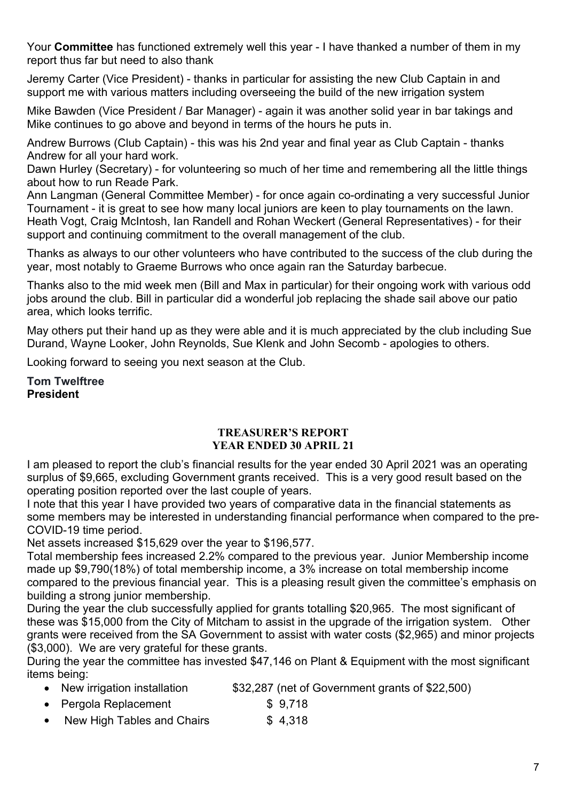Your **Committee** has functioned extremely well this year - I have thanked a number of them in my report thus far but need to also thank

Jeremy Carter (Vice President) - thanks in particular for assisting the new Club Captain in and support me with various matters including overseeing the build of the new irrigation system

Mike Bawden (Vice President / Bar Manager) - again it was another solid year in bar takings and Mike continues to go above and beyond in terms of the hours he puts in.

Andrew Burrows (Club Captain) - this was his 2nd year and final year as Club Captain - thanks Andrew for all your hard work.

Dawn Hurley (Secretary) - for volunteering so much of her time and remembering all the little things about how to run Reade Park.

Ann Langman (General Committee Member) - for once again co-ordinating a very successful Junior Tournament - it is great to see how many local juniors are keen to play tournaments on the lawn. Heath Vogt, Craig McIntosh, Ian Randell and Rohan Weckert (General Representatives) - for their support and continuing commitment to the overall management of the club.

Thanks as always to our other volunteers who have contributed to the success of the club during the year, most notably to Graeme Burrows who once again ran the Saturday barbecue.

Thanks also to the mid week men (Bill and Max in particular) for their ongoing work with various odd jobs around the club. Bill in particular did a wonderful job replacing the shade sail above our patio area, which looks terrific.

May others put their hand up as they were able and it is much appreciated by the club including Sue Durand, Wayne Looker, John Reynolds, Sue Klenk and John Secomb - apologies to others.

Looking forward to seeing you next season at the Club.

**Tom Twelftree President**

#### **TREASURER'S REPORT YEAR ENDED 30 APRIL 21**

I am pleased to report the club's financial results for the year ended 30 April 2021 was an operating surplus of \$9,665, excluding Government grants received. This is a very good result based on the operating position reported over the last couple of years.

I note that this year I have provided two years of comparative data in the financial statements as some members may be interested in understanding financial performance when compared to the pre-COVID-19 time period.

Net assets increased \$15,629 over the year to \$196,577.

Total membership fees increased 2.2% compared to the previous year. Junior Membership income made up \$9,790(18%) of total membership income, a 3% increase on total membership income compared to the previous financial year. This is a pleasing result given the committee's emphasis on building a strong junior membership.

During the year the club successfully applied for grants totalling \$20,965. The most significant of these was \$15,000 from the City of Mitcham to assist in the upgrade of the irrigation system. Other grants were received from the SA Government to assist with water costs (\$2,965) and minor projects (\$3,000). We are very grateful for these grants.

During the year the committee has invested \$47,146 on Plant & Equipment with the most significant items being:

- New irrigation installation \$32,287 (net of Government grants of \$22,500)
- Pergola Replacement \$ 9,718
- New High Tables and Chairs \$4,318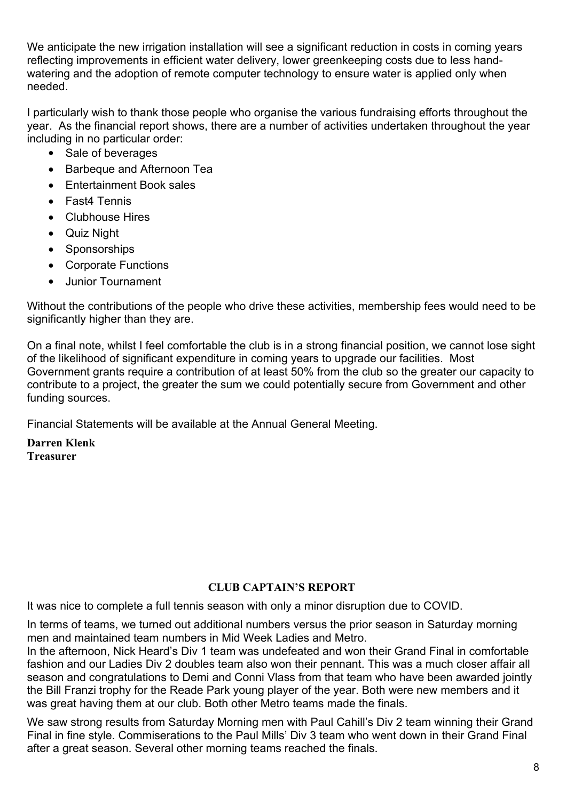We anticipate the new irrigation installation will see a significant reduction in costs in coming years reflecting improvements in efficient water delivery, lower greenkeeping costs due to less handwatering and the adoption of remote computer technology to ensure water is applied only when needed.

I particularly wish to thank those people who organise the various fundraising efforts throughout the year. As the financial report shows, there are a number of activities undertaken throughout the year including in no particular order:

- Sale of beverages
- Barbeque and Afternoon Tea
- **Entertainment Book sales**
- Fast4 Tennis
- Clubhouse Hires
- Quiz Night
- Sponsorships
- Corporate Functions
- Junior Tournament

Without the contributions of the people who drive these activities, membership fees would need to be significantly higher than they are.

On a final note, whilst I feel comfortable the club is in a strong financial position, we cannot lose sight of the likelihood of significant expenditure in coming years to upgrade our facilities. Most Government grants require a contribution of at least 50% from the club so the greater our capacity to contribute to a project, the greater the sum we could potentially secure from Government and other funding sources.

Financial Statements will be available at the Annual General Meeting.

**Darren Klenk Treasurer**

## **CLUB CAPTAIN'S REPORT**

It was nice to complete a full tennis season with only a minor disruption due to COVID.

In terms of teams, we turned out additional numbers versus the prior season in Saturday morning men and maintained team numbers in Mid Week Ladies and Metro.

In the afternoon, Nick Heard's Div 1 team was undefeated and won their Grand Final in comfortable fashion and our Ladies Div 2 doubles team also won their pennant. This was a much closer affair all season and congratulations to Demi and Conni Vlass from that team who have been awarded jointly the Bill Franzi trophy for the Reade Park young player of the year. Both were new members and it was great having them at our club. Both other Metro teams made the finals.

We saw strong results from Saturday Morning men with Paul Cahill's Div 2 team winning their Grand Final in fine style. Commiserations to the Paul Mills' Div 3 team who went down in their Grand Final after a great season. Several other morning teams reached the finals.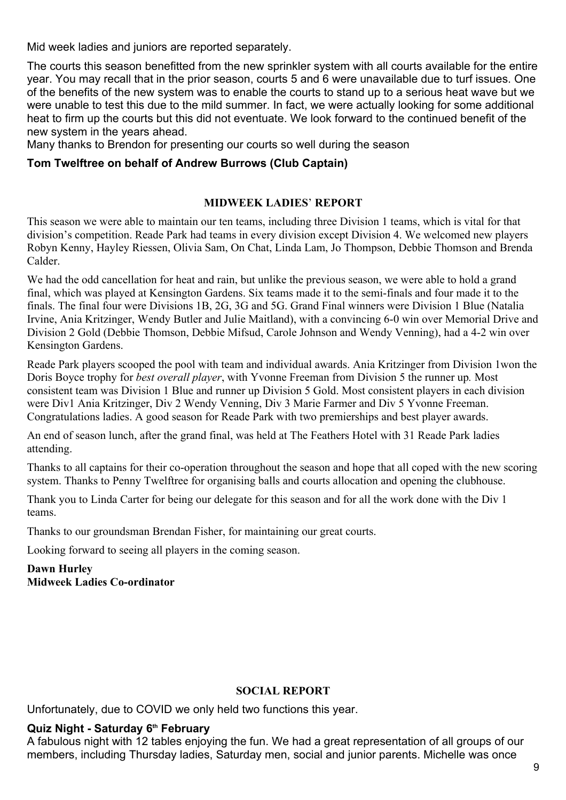Mid week ladies and juniors are reported separately.

The courts this season benefitted from the new sprinkler system with all courts available for the entire year. You may recall that in the prior season, courts 5 and 6 were unavailable due to turf issues. One of the benefits of the new system was to enable the courts to stand up to a serious heat wave but we were unable to test this due to the mild summer. In fact, we were actually looking for some additional heat to firm up the courts but this did not eventuate. We look forward to the continued benefit of the new system in the years ahead.

Many thanks to Brendon for presenting our courts so well during the season

## **Tom Twelftree on behalf of Andrew Burrows (Club Captain)**

#### **MIDWEEK LADIES**' **REPORT**

This season we were able to maintain our ten teams, including three Division 1 teams, which is vital for that division's competition. Reade Park had teams in every division except Division 4. We welcomed new players Robyn Kenny, Hayley Riessen, Olivia Sam, On Chat, Linda Lam, Jo Thompson, Debbie Thomson and Brenda Calder.

We had the odd cancellation for heat and rain, but unlike the previous season, we were able to hold a grand final, which was played at Kensington Gardens. Six teams made it to the semi-finals and four made it to the finals. The final four were Divisions 1B, 2G, 3G and 5G. Grand Final winners were Division 1 Blue (Natalia Irvine, Ania Kritzinger, Wendy Butler and Julie Maitland), with a convincing 6-0 win over Memorial Drive and Division 2 Gold (Debbie Thomson, Debbie Mifsud, Carole Johnson and Wendy Venning), had a 4-2 win over Kensington Gardens.

Reade Park players scooped the pool with team and individual awards. Ania Kritzinger from Division 1won the Doris Boyce trophy for *best overall player*, with Yvonne Freeman from Division 5 the runner up*.* Most consistent team was Division 1 Blue and runner up Division 5 Gold. Most consistent players in each division were Div1 Ania Kritzinger, Div 2 Wendy Venning, Div 3 Marie Farmer and Div 5 Yvonne Freeman. Congratulations ladies. A good season for Reade Park with two premierships and best player awards.

An end of season lunch, after the grand final, was held at The Feathers Hotel with 31 Reade Park ladies attending.

Thanks to all captains for their co-operation throughout the season and hope that all coped with the new scoring system. Thanks to Penny Twelftree for organising balls and courts allocation and opening the clubhouse.

Thank you to Linda Carter for being our delegate for this season and for all the work done with the Div 1 teams.

Thanks to our groundsman Brendan Fisher, for maintaining our great courts.

Looking forward to seeing all players in the coming season.

#### **Dawn Hurley Midweek Ladies Co-ordinator**

### **SOCIAL REPORT**

Unfortunately, due to COVID we only held two functions this year.

### **Quiz Night - Saturday 6th February**

A fabulous night with 12 tables enjoying the fun. We had a great representation of all groups of our members, including Thursday ladies, Saturday men, social and junior parents. Michelle was once